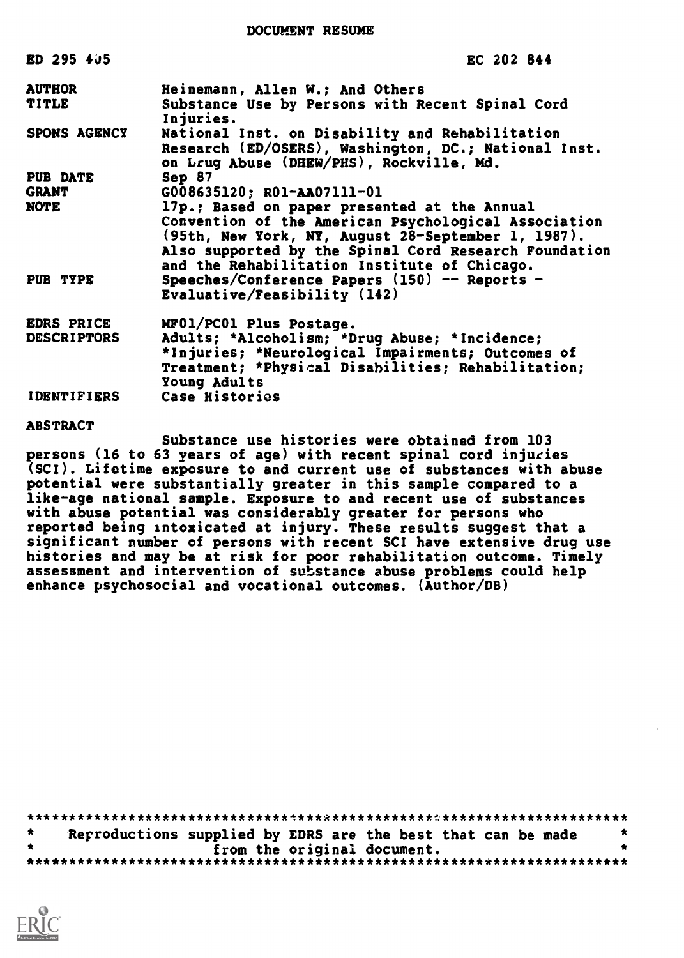DOCUMENT RESUME

| ED 295 405          | EC 202 844                                                    |
|---------------------|---------------------------------------------------------------|
| <b>AUTHOR</b>       | Heinemann, Allen W.; And Others                               |
| TITLE               | Substance Use by Persons with Recent Spinal Cord<br>Injuries. |
| <b>SPONS AGENCY</b> | National Inst. on Disability and Rehabilitation               |
|                     | Research (ED/OSERS), Washington, DC.; National Inst.          |
|                     | on Lrug Abuse (DHEW/PHS), Rockville, Md.                      |
| <b>PUB DATE</b>     | Sep 87                                                        |
| <b>GRANT</b>        | G008635120; R01-AA07111-01                                    |
| NOTE                | 17p.; Based on paper presented at the Annual                  |
|                     | Convention of the American Psychological Association          |
|                     | (95th, New York, NY, August 28-September 1, 1987).            |
|                     | Also supported by the Spinal Cord Research Foundation         |
|                     | and the Rehabilitation Institute of Chicago.                  |
| PUB TYPE            | Speeches/Conference Papers $(150)$ -- Reports -               |
|                     | Evaluative/Feasibility (142)                                  |
| <b>EDRS PRICE</b>   | MF01/PC01 Plus Postage.                                       |
| <b>DESCRIPTORS</b>  | Adults; *Alcoholism; *Drug Abuse; *Incidence;                 |
|                     | *Injuries; *Neurological Impairments; Outcomes of             |
|                     | Treatment; *Physical Disabilities; Rehabilitation;            |
|                     | Young Adults                                                  |
| <b>IDENTIFIERS</b>  | Case Histories                                                |
| <b>ABSTRACT</b>     |                                                               |

Substance use histories were obtained from 103 persons (16 to 63 years of age) with recent spinal cord injuries (SCI). Lifetime exposure to and current use of substances with abuse potential were substantially greater in this sample compared to a like-age national sample. Exposure to and recent use of substances with abuse potential was considerably greater for persons who reported being intoxicated at injury. These results suggest that a significant number of persons with recent SCI have extensive drug use histories and may be at risk for poor rehabilitation outcome. Timely assessment and intervention of substance abuse problems could help enhance psychosocial and vocational outcomes. (Author/DB)

|  |                             | Reproductions supplied by EDRS are the best that can be made |  |
|--|-----------------------------|--------------------------------------------------------------|--|
|  | from the original document. |                                                              |  |
|  |                             |                                                              |  |

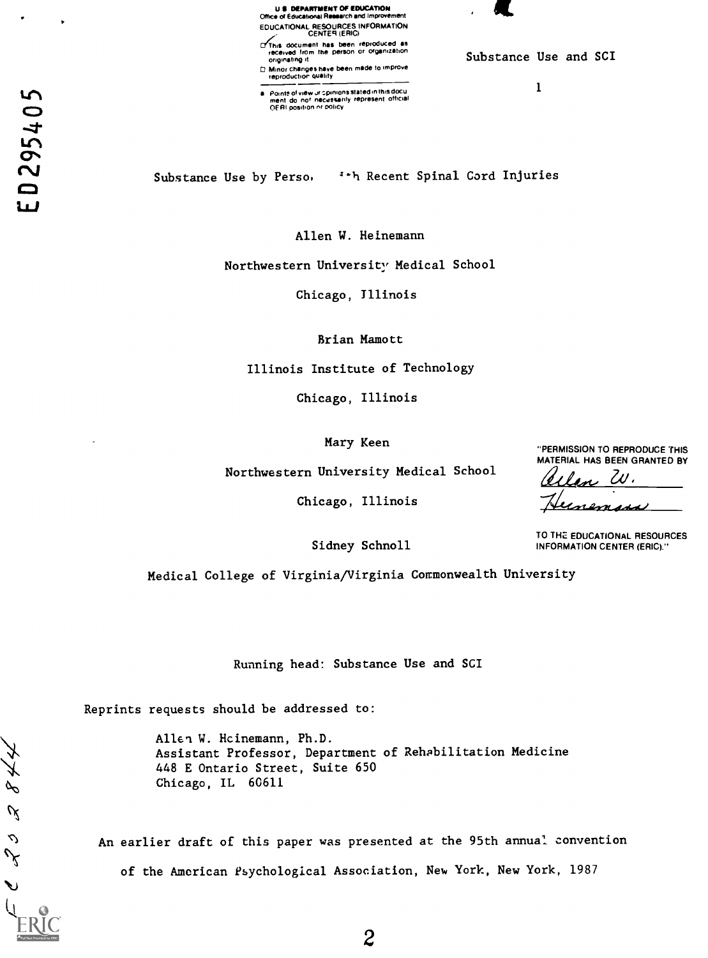U 11 DEPARTMENT OF EDUCATION Mc of Educahonai Research and Improvement EDUCATIONAL RESOURCES INFORMATION CENTER (ERIC) Cfc'his document has been reproduced as received Iron, the person or organization

originating Minor changes have been made to improve.<br>reproduction quality

Points of view ur spinions stated in this docu<br>ment: do: nor: necessarily represent: official<br>OFRI position or policy

Substance Use and SCI

1

Substance Use by Perso,  $\cdot \cdot$ h Recent Spinal Cord Injuries

Allen W. Heinemann

Northwestern University Medical School

Chicago, Illinois

Brian Mamott

Illinois Institute of Technology

Chicago, Illinois

Mary Keen

Northwestern University Medical School

Chicago, Illinois

"PERMISSION TO REPRODUCE THIS MATERIAL HAS BEEN GRANTED BY len W.

<u>Unemass</u>

TO THE EDUCATIONAL RESOURCES INFORMATION CENTER (ERIC)."

Sidney Schnoll

Medical College of Virginia/Virginia Commonwealth University

Running head: Substance Use and SCI

Reprints requests should be addressed to:

Allen W. Hcinemann, Ph.D. Assistant Professor, Department of Rehabilitation Medicine 448 E Ontario Street, Suite 650 Chicago, IL 60611

An earlier draft of this paper was presented at the 95th annual convention of the American Psychological Association, New York, New York, 1987

 $844$ 

 $\mathscr{A}$ 

 $\mathcal{L}$  $\mathcal{S}$ 

ゝ

 $\bullet$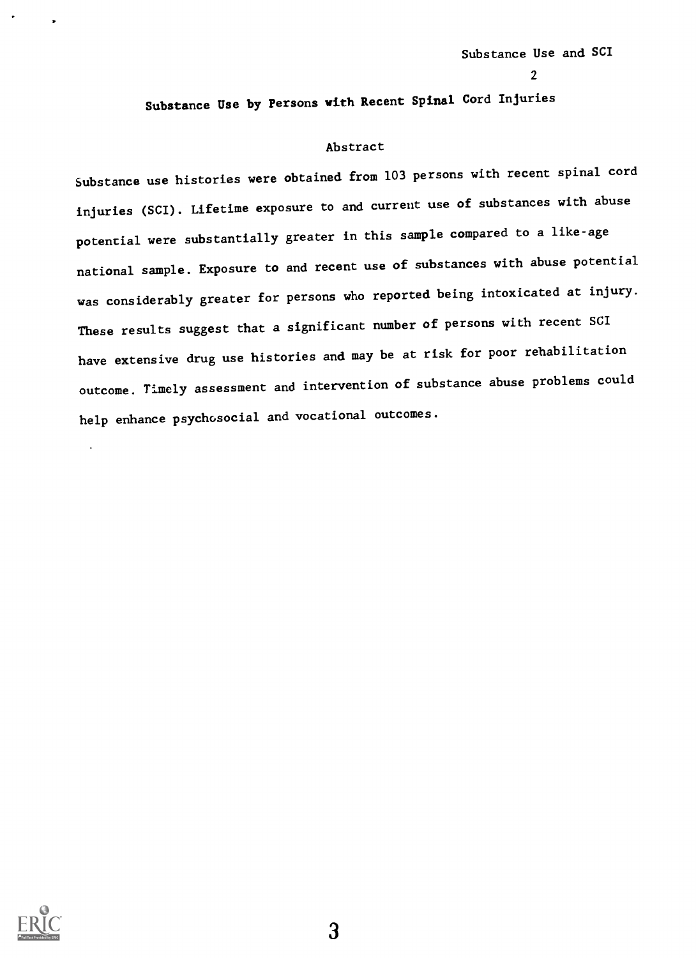$\mathbf{z}$  and  $\mathbf{z}$ 

Substance Use by Persons with Recent Spinal Cord Injuries

### Abstract

Substance use histories were obtained from 103 persons with recent spinal cord injuries (SCI). Lifetime exposure to and current use of substances with abuse potential were substantially greater in this sample compared to a like-age national sample. Exposure to and recent use of substances with abuse potential was considerably greater for persons who reported being intoxicated at injury. These results suggest that a significant number of persons with recent SCI have extensive drug use histories and may be at risk for poor rehabilitation outcome. Timely assessment and intervention of substance abuse problems could help enhance psychosocial and vocational outcomes.

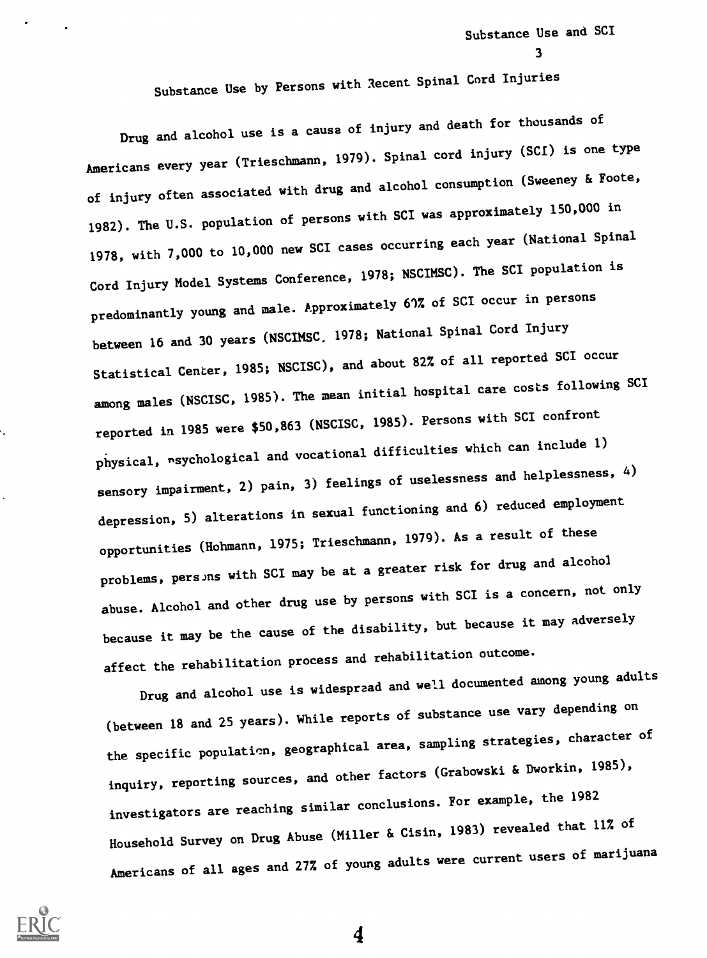Substance Use and SCI

3

Substance Use by Persons with Recent Spinal Cord Injuries

Drug and alcohol use is a cause of injury and death for thousands of Americans every year (Trieschmann, 1979). Spinal cord injury (SCI) is one type of injury often associated with drug and alcohol consumption (Sweeney & Foote, 1982). The U.S. population of persons with SCI was approximately 150,000 in 1978, with 7,000 to 10,000 new SCI cases occurring each year (National Spinal Cord Injury Model Systems Conference, 1978; NSCIMSC). The SCI population is predominantly young and male. Approximately 61% of SCI occur in persons between 16 and 30 years (NSCIMSC, 1978; National Spinal Cord Injury Statistical Center, 1985; NSCISC), and about 82% of all reported SCI occur among males (NSCISC, 1985). The mean initial hospital care costs following SCI reported in 1985 were \$50,863 (NSCISC, 1985). Persons with SCI confront physical, nsychological and vocational difficulties which can include 1) sensory impairment, 2) pain, 3) feelings of uselessness and helplessness, 4) depression, 5) alterations in sexual functioning and 6) reduced employment opportunities (Hohmann, 1975; Trieschmann, 1979). As a result of these problems, persons with SCI may be at a greater risk for drug and alcohol abuse. Alcohol and other drug use by persons with SCI is a concern, not only because it may be the cause of the disability, but because it may adversely affect the rehabilitation process and rehabilitation outcome.

Drug and alcohol use is widespread and well documented among young adults (between 18 and 25 years). While reports of substance use vary depending on the specific population, geographical area, sampling strategies, character of inquiry, reporting sources, and other factors (Grabowski & Dworkin, 1985), investigators are reaching similar conclusions. For example, the 1982 Household Survey on Drug Abuse (Miller & Cisin, 1983) revealed that 11% of Americans of all ages and 27% of young adults were current users of marijuana



Ü.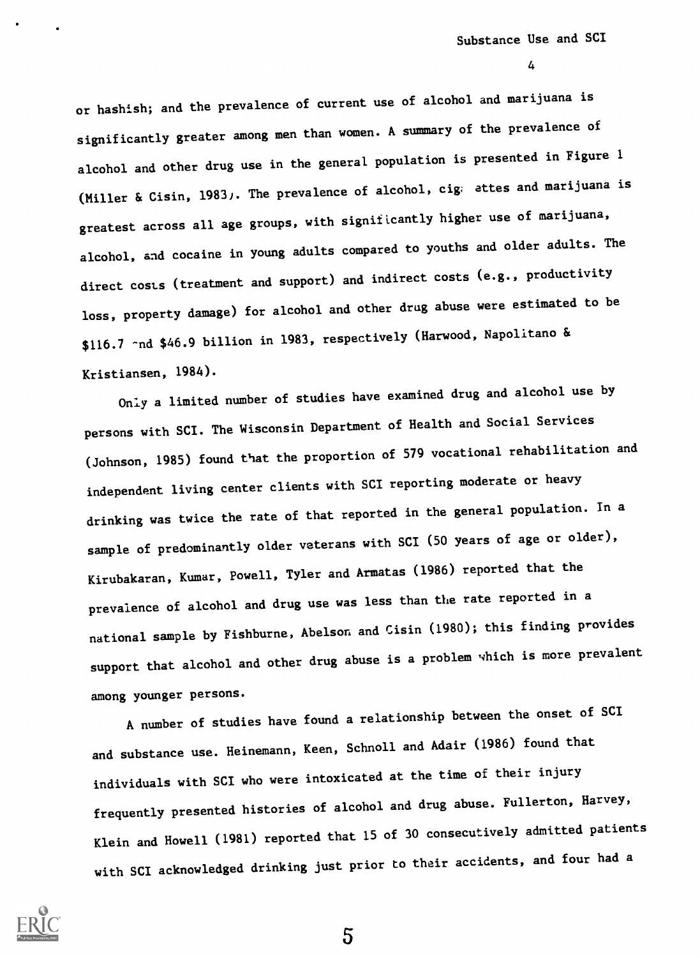or hashish; and the prevalence of current use of alcohol and marijuana is significantly greater among men than women. A summary of the prevalence of alcohol and other drug use in the general population is presented in Figure 1 (Miller & Cisin, 1983). The prevalence of alcohol, cig; attes and marijuana is greatest across all age groups, with significantly higher use of marijuana, alcohol, and cocaine in young adults compared to youths and older adults. The direct costs (treatment and support) and indirect costs (e.g., productivity loss, property damage) for alcohol and other drug abuse were estimated to be \$116.7 -nd \$46.9 billion in 1983, respectively (Harwood, Napolitano & Kristiansen, 1984).

Only a limited number of studies have examined drug and alcohol use by persons with SCI. The Wisconsin Department of Health and Social Services (Johnson, 1985) found that the proportion of 579 vocational rehabilitation and independent living center clients with SCI reporting moderate or heavy drinking was twice the rate of that reported in the general population. In a sample of predominantly older veterans with SCI (50 years of age or older), Kirubakaran, Kumar, Powell, Tyler and Armatas (1986) reported that the prevalence of alcohol and drug use was less than the rate reported in a national sample by Fishburne, Abelson and Cisin (1980); this finding provides support that alcohol and other drug abuse is a problem which is more prevalent among younger persons.

A number of studies have found a relationship between the onset of SCI and substance use. Heinemann, Keen, Schnoll and Adair (1986) found that individuals with SCI who were intoxicated at the time of their injury frequently presented histories of alcohol and drug abuse. Fullerton, Harvey, Klein and Howell (1981) reported that 15 of 30 consecutively admitted patients with SCI acknowledged drinking just prior to their accidents, and four had a

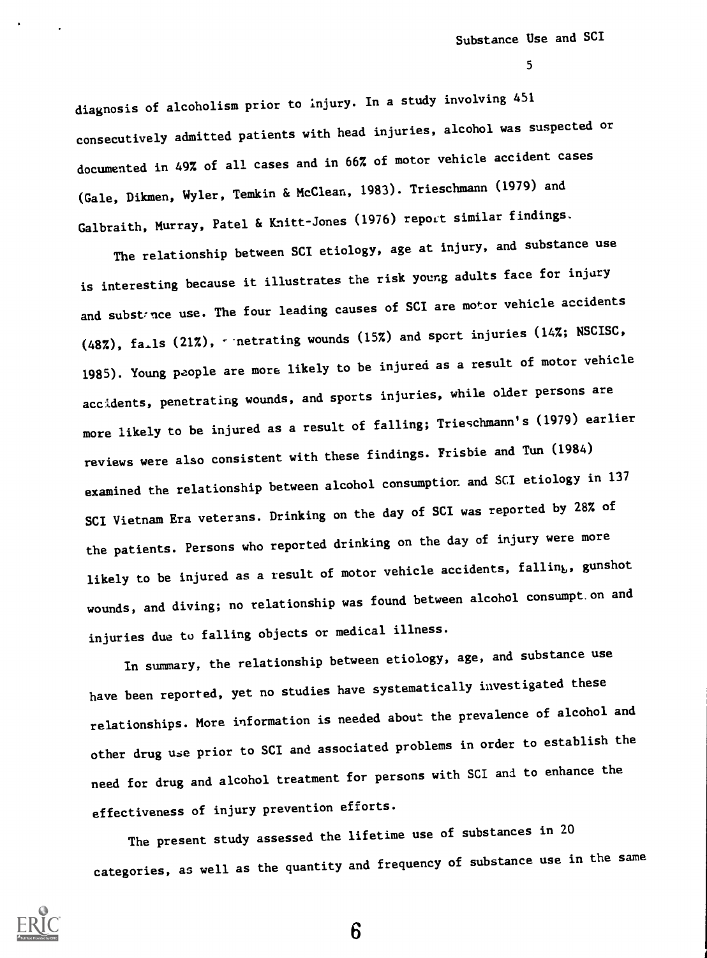diagnosis of alcoholism prior to injury. In a study involving 451 consecutively admitted patients with head injuries, alcohol was suspected or documented in 49% of all cases and in 66% of motor vehicle accident cases (Gale, Dikmen, Wyler, Temkin & McClean, 1983). Trieschmann (1979) and Galbraith, Murray, Patel & Knitt-Jones (1976) report similar findings.

The relationship between SCI etiology, age at injury, and substance use is interesting because it illustrates the risk young adults face for injury and substance use. The four leading causes of SCI are motor vehicle accidents  $(48\%)$ , fa<sub>rl</sub>s  $(21\%)$ ,  $\cdot$  netrating wounds  $(15\%)$  and sport injuries  $(14\%)$ ; NSCISC, 1985). Young people are more likely to be injured as a result of motor vehicle accidents, penetrating wounds, and sports injuries, while older persons are more likely to be injured as a result of falling; Trieschmann's (1979) earlier reviews were also consistent with these findings. Frisbie and Tun (1984) examined the relationship between alcohol consumption and SCI etiology in <sup>137</sup> SCI Vietnam Era veterans. Drinking on the day of SCI was reported by 28% of the patients. Persons who reported drinking on the day of injury were more likely to be injured as a result of motor vehicle accidents, falling, gunshot wounds, and diving; no relationship was found between alcohol consumpt.on and injuries due to falling objects or medical illness.

In summary, the relationship between etiology, age, and substance use have been reported, yet no studies have systematically investigated these relationships. More information is needed about the prevalence of alcohol and other drug use prior to SCI and associated problems in order to establish the need for drug and alcohol treatment for persons with SCI and to enhance the effectiveness of injury prevention efforts.

The present study assessed the lifetime use of substances in <sup>20</sup> categories, as well as the quantity and frequency of substance use in the same

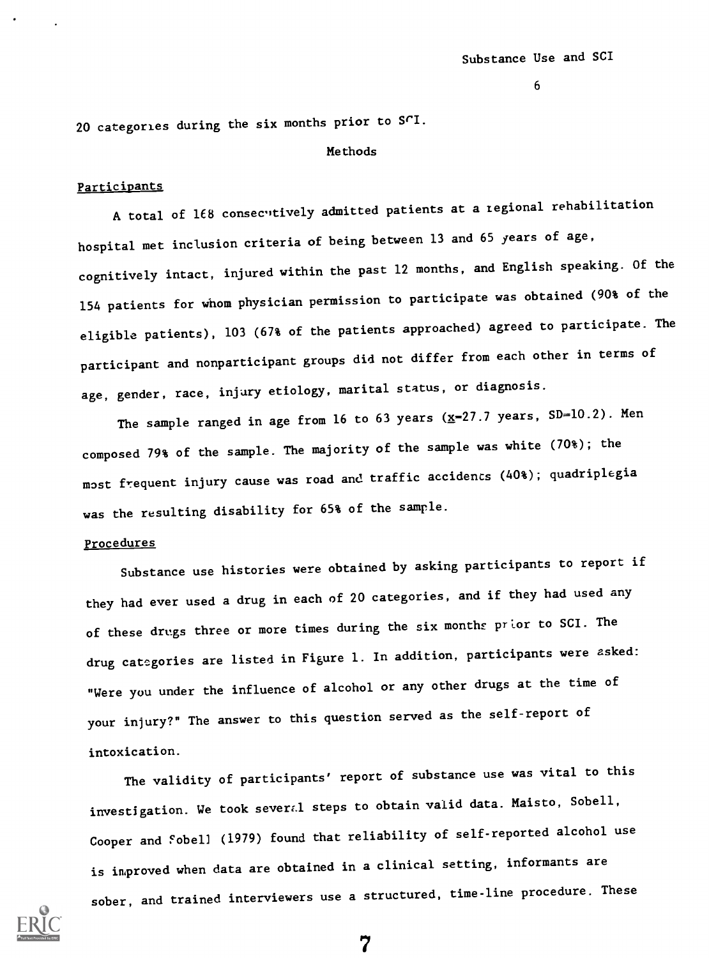20 categories during the six months prior to SCI.

#### Methods

#### Participants

A total of 168 consecutively admitted patients at a regional rehabilitation hospital met inclusion criteria of being between 13 and 65 years of age, cognitively intact, injured within the past 12 months, and English speaking. Of the 154 patients for whom physician permission to participate was obtained (90% of the eligible patients), 103 (67% of the patients approached) agreed to participate. The participant and nonparticipant groups did not differ from each other in terms of age, gender, race, injury etiology, marital status, or diagnosis.

The sample ranged in age from 16 to 63 years  $(x=27.7 \text{ years}, S.D=10.2)$ . Men composed 79% of the sample. The majority of the sample was white (70%); the most frequent injury cause was road and traffic accidents (40%); quadriplegia was the resulting disability for 65% of the sample.

#### Procedures

Substance use histories were obtained by asking participants to report if they had ever used a drug in each of 20 categories, and if they had used any of these drugs three or more times during the six months prior to SCI. The drug categories are listed in Figure 1. In addition, participants were asked: "Were you under the influence of alcohol or any other drugs at the time of your injury?" The answer to this question served as the self-report of intoxication.

The validity of participants' report of substance use was vital to this investigation. We took several steps to obtain valid data. Maisto, Sobell, Cooper and 'obeli (1979) found that reliability of self-reported alcohol use is improved when data are obtained in a clinical setting, informants are sober, and trained interviewers use a structured, time-line procedure. These

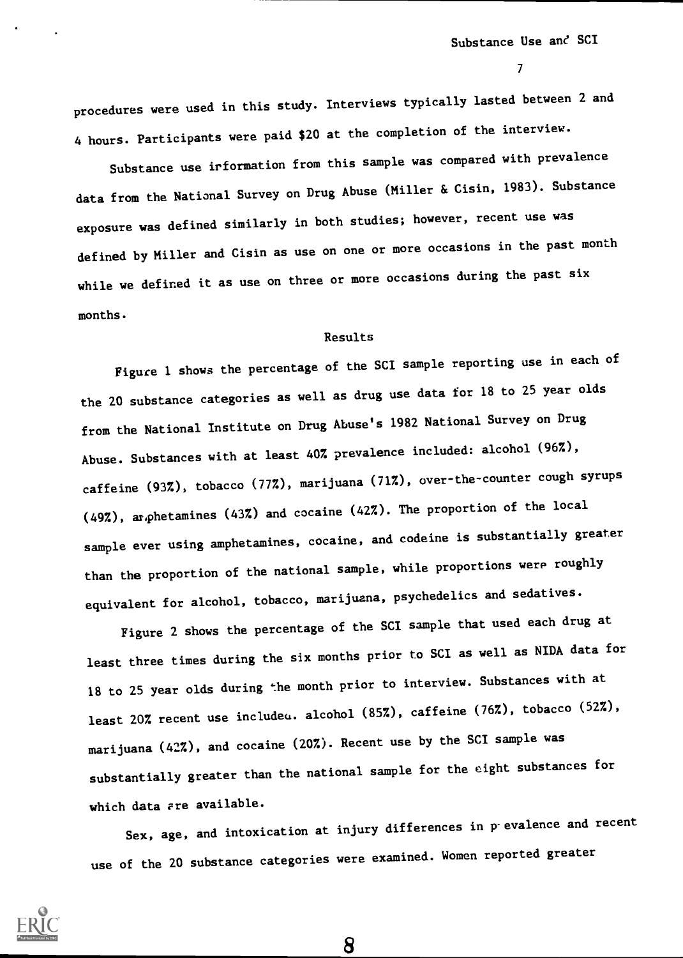$\mathcal{T}$  and  $\mathcal{T}$ 

procedures were used in this study. Interviews typically lasted between 2 and 4 hours. Participants were paid \$20 at the completion of the interview.

Substance use irformation from this sample was compared with prevalence data from the National Survey on Drug Abuse (Miller & Cisin, 1983). Substance exposure was defined similarly in both studies; however, recent use was defined by Miller and Cisin as use on one or more occasions in the past month while we defined it as use on three or more occasions during the past six months.

### Results

Figure 1 shows the percentage of the SCI sample reporting use in each of the 20 substance categories as well as drug use data for 18 to 25 year olds from the National Institute on Drug Abuse's 1982 National Survey on Drug Abuse. Substances with at least 40% prevalence included: alcohol (96%), caffeine (93%), tobacco (77%), marijuana (71%), over-the-counter cough syrups (49%), amphetamines (43%) and cocaine (42%). The proportion of the local sample ever using amphetamines, cocaine, and codeine is substantially greater than the proportion of the national sample, while proportions were roughly equivalent for alcohol, tobacco, marijuana, psychedelics and sedatives.

Figure 2 shows the percentage of the SCI sample that used each drug at least three times during the six months prior to SCI as well as NIDA data for 18 to 25 year olds during the month prior to interview. Substances with at least 20% recent use includeu. alcohol (85%), caffeine (76%), tobacco (52%), marijuana (42%), and cocaine (20%). Recent use by the SCI sample was substantially greater than the national sample for the eight substances for which data ere available.

Sex, age, and intoxication at injury differences in p-evalence and recent use of the 20 substance categories were examined. Women reported greater

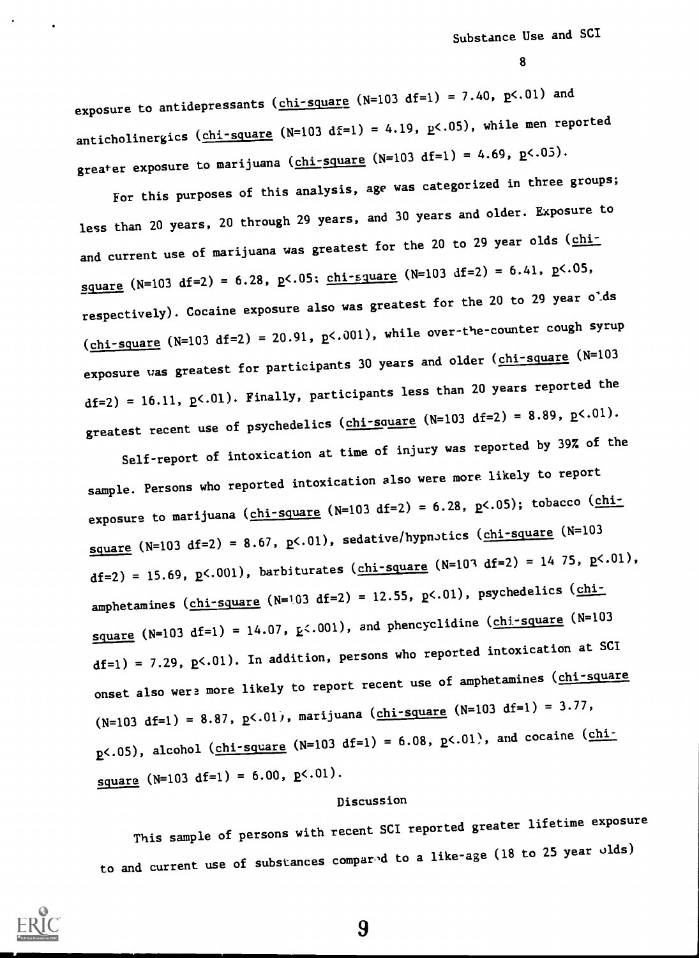exposure to antidepressants ( $chi$ -square (N=103 df=1) = 7.40,  $p$ <.01) and anticholinergics (chi-square (N=103 df=1) = 4.19,  $p$ <.05), while men reported greater exposure to marijuana ( $chi$ -square (N=103 df=1) = 4.69, p<.05).

For this purposes of this analysis, age was categorized in three groups; less than 20 years, 20 through 29 years, and 30 years and older. Exposure to and current use of marijuana was greatest for the 20 to 29 year olds (chisquare (N=103 df=2) = 6.28, p<.05; <u>chi-square</u> (N=103 df=2) = 6.41, p<.05, respectively). Cocaine exposure also was greatest for the 20 to 29 year o'ds  $(chi-square (N=103 df=2) = 20.91, p<.001)$ , while over-the-counter cough syrup exposure was greatest for participants 30 years and older (chi-square (N=103)  $df=2$ ) = 16.11,  $p<01$ ). Finally, participants less than 20 years reported the greatest recent use of psychedelics ( $chi$ -square (N=103 df=2) = 8.89, p<.01).

Self-report of intoxication at time of injury was reported by 39% of the sample. Persons who reported intoxication also were more likely to report exposure to marijuana ( $chi$ -square (N=103 df=2) = 6.28, p<.05); tobacco ( $chi$ square (N=103 df=2) = 8.67,  $p<01$ ), sedative/hypnotics (chi-square (N=103 df=2) = 15.69, p<.001), barbiturates (chi-square (N=103 df=2) = 14 75, p<.01), amphetamines (chi-square (N=103 df=2) = 12.55, p<.01), psychedelics (chisquare (N=103 df=1) = 14.07,  $E<0.01$ ), and phencyclidine (chi-square (N=103)  $df=1$ ) = 7.29,  $p<.01$ ). In addition, persons who reported intoxication at SCI onset also were more likely to report recent use of amphetamines (chi-square  $(N=103 \text{ df}=1) = 8.87$ ,  $p<.01$ , marijuana (chi-square  $(N=103 \text{ df}=1) = 3.77$ ,  $p$ <.05), alcohol (chi-square (N=103 df=1) = 6.08,  $p$ <.01), and cocaine (chisquare  $(N=103 \text{ df}=1) = 6.00, p<.01$ .

# Discussion

This sample of persons with recent SCI reported greater lifetime exposure to and current use of substances compared to a like-age (18 to 25 year olds)

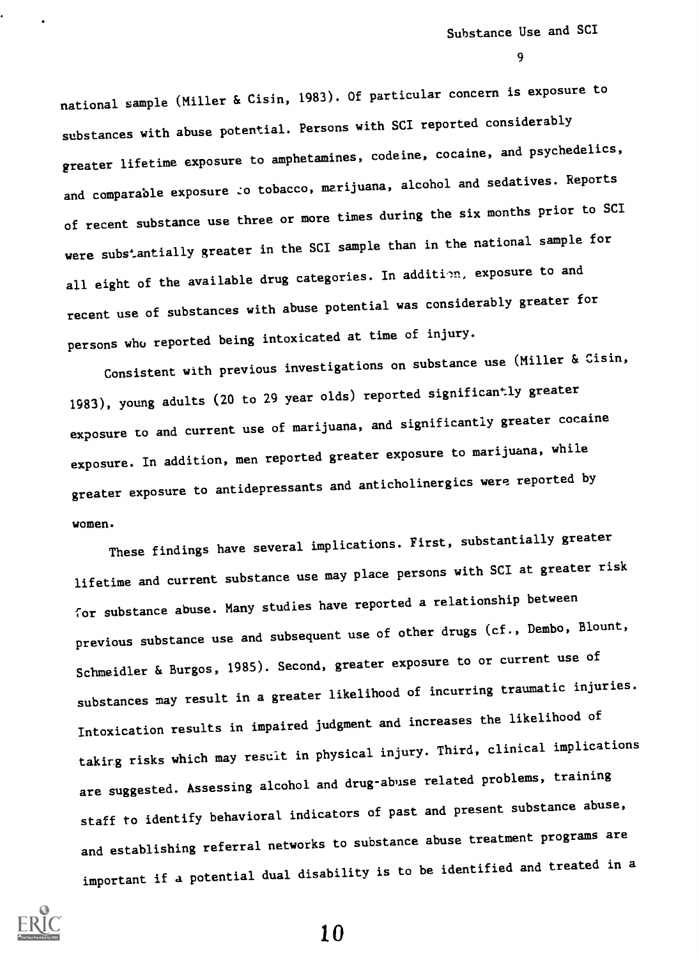national sample (Miller & Cisin, 1983). Of particular concern is exposure to substances with abuse potential. Persons with SCI reported considerably greater lifetime exposure to amphetamines, codeine, cocaine, and psychedelics, and comparable exposure to tobacco, marijuana, alcohol and sedatives. Reports of recent substance use three or more times during the six months prior to SCI were substantially greater in the SCI sample than in the national sample for all eight of the available drug categories. In addition, exposure to and recent use of substances with abuse potential was considerably greater for persons who reported being intoxicated at time of injury.

Consistent with previous investigations on substance use (Miller & Cisin, 1983), young adults (20 to 29 year olds) reported significantly greater exposure to and current use of marijuana, and significantly greater cocaine exposure. In addition, men reported greater exposure to marijuana, while greater exposure to antidepressants and anticholinergics were reported by women.

These findings have several implications. First, substantially greater lifetime and current substance use may place persons with SCI at greater risk for substance abuse. Many studies have reported a relationship between previous substance use and subsequent use of other drugs (cf., Dembo, Blount, Schmeidler & Burgos, 1985). Second, greater exposure to or current use of substances may result in a greater likelihood of incurring traumatic injuries. Intoxication results in impaired judgment and increases the likelihood of taking risks which may result in physical injury. Third, clinical implications are suggested. Assessing alcohol and drug-abuse related problems, training staff to identify behavioral indicators of past and present substance abuse, and establishing referral networks to substance abuse treatment programs are important if a potential dual disability is to be identified and treated in a

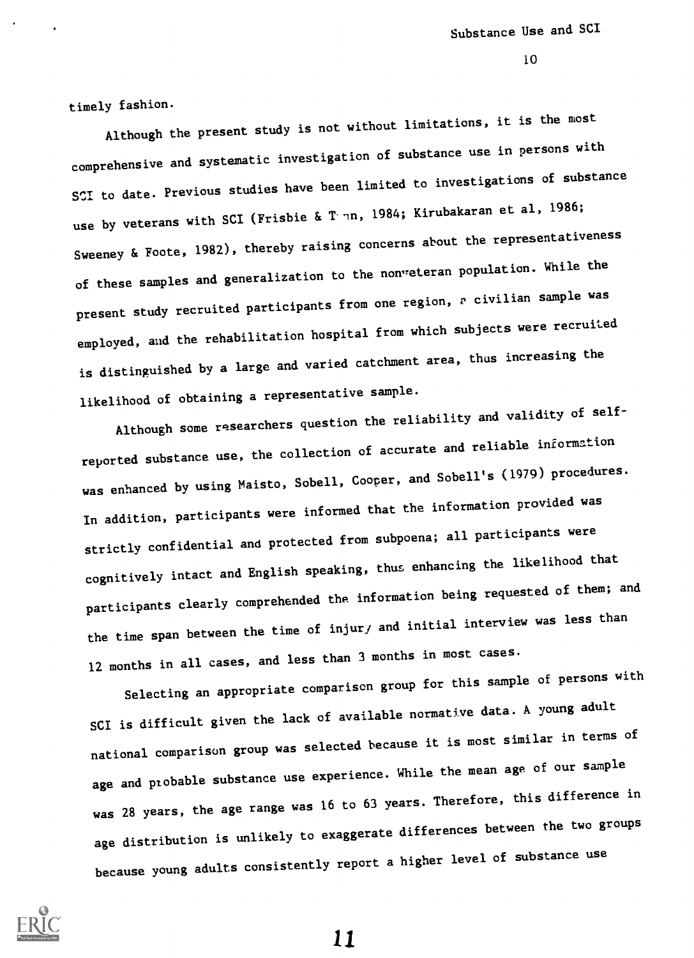timely fashion.

Although the present study is not without limitations, it is the most comprehensive and systematic investigation of substance use in persons with SCI to date. Previous studies have been limited to investigations of substance use by veterans with SCI (Frisbie & Tonn, 1984; Kirubakaran et al, 1986; Sweeney & Foote, 1982), thereby raising concerns about the representativeness of these samples and generalization to the nonveteran population. While the present study recruited participants from one region, a civilian sample was employed, and the rehabilitation hospital from which subjects were recruited is distinguished by a large and varied catchment area, thus increasing the likelihood of obtaining a representative sample.

Although some researchers question the reliability and validity of selfreported substance use, the collection of accurate and reliable information was enhanced by using Maisto, Sobell, Cooper, and Sobell's (1979) procedures. In addition, participants were informed that the information provided was strictly confidential and protected from subpoena; all participants were cognitively intact and English speaking, thus enhancing the likelihood that participants clearly comprehended the information being requested of them; and the time span between the time of injur, and initial interview was less than 12 months in all cases, and less than 3 months in most cases.

Selecting an appropriate comparison group for this sample of persons with SCI is difficult given the lack of available normative data. A young adult national comparison group was selected because it is most similar in terms of age and probable substance use experience. While the mean age of our sample was 28 years, the age range was 16 to 63 years. Therefore, this difference in age distribution is unlikely to exaggerate differences between the two groups because young adults consistently report a higher level of substance use

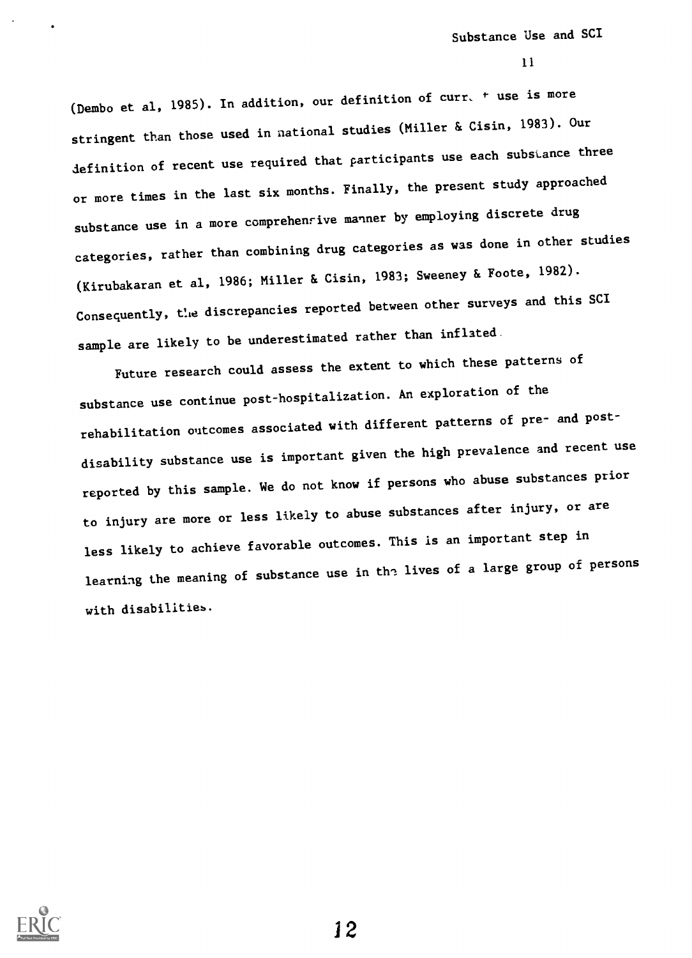(Dembo et al, 1985). In addition, our definition of curr. + use is more stringent than those used in national studies (Miller & Cisin, 1983). Our definition of recent use required that participants use each substance three or more times in the last six months. Finally, the present study approached substance use in a more comprehensive manner by employing discrete drug categories, rather than combining drug categories as was done in other studies (Kirubakaran et al, 1986; Miller & Cisin, 1983; Sweeney & Foote, 1982). Consequently, Cie discrepancies reported between other surveys and this SCI sample are likely to be underestimated rather than inflated.

Future research could assess the extent to which these patterns of substance use continue post-hospitalization. An exploration of the rehabilitation outcomes associated with different patterns of pre- and postdisability substance use is important given the high prevalence and recent use reported by this sample. We do not know if persons who abuse substances prior to injury are more or less likely to abuse substances after injury, or are less likely to achieve favorable outcomes. This is an important step in learning the meaning of substance use in the lives of a large group of persons with disabilities.

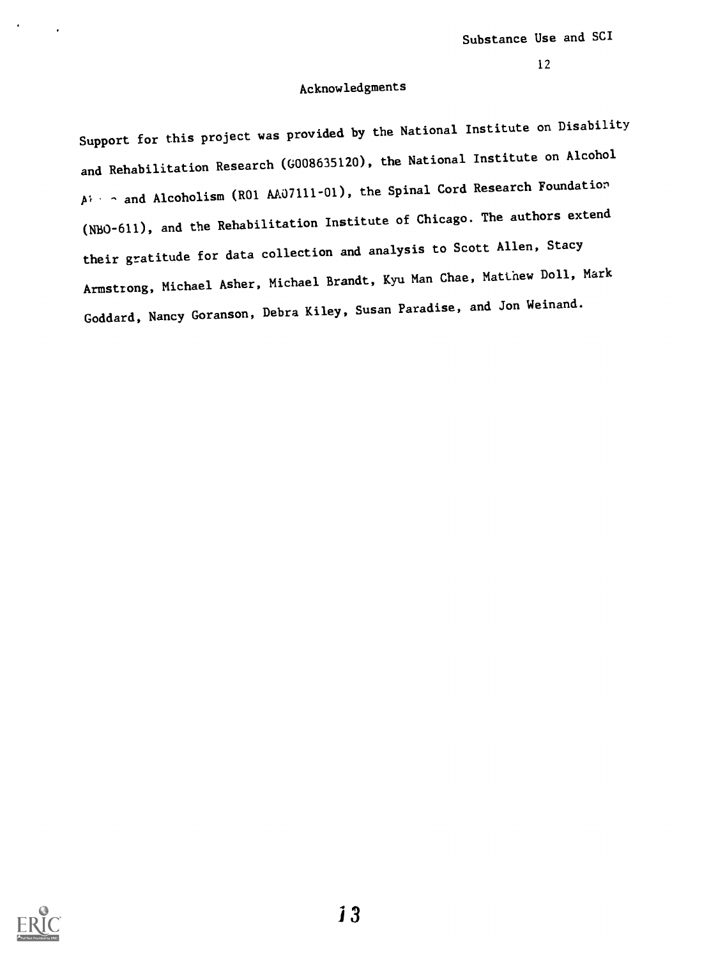# Acknowledgments

Support for this project was provided by the National Institute on Disability and Rehabilitation Research (G008635120), the National Institute on Alcohol  $A^{\dagger}$  - and Alcoholism (R01 AA07111-01), the Spinal Cord Research Foundation (NBO-611), and the Rehabilitation Institute of Chicago. The authors extend their gratitude for data collection and analysis to Scott Allen, Stacy Armstrong, Michael Asher, Michael Brandt, Kyu Man Chae, Matthew Doll, Mark Goddard, Nancy Goranson, Debra Kiley, Susan Paradise, and Jon Weinand.

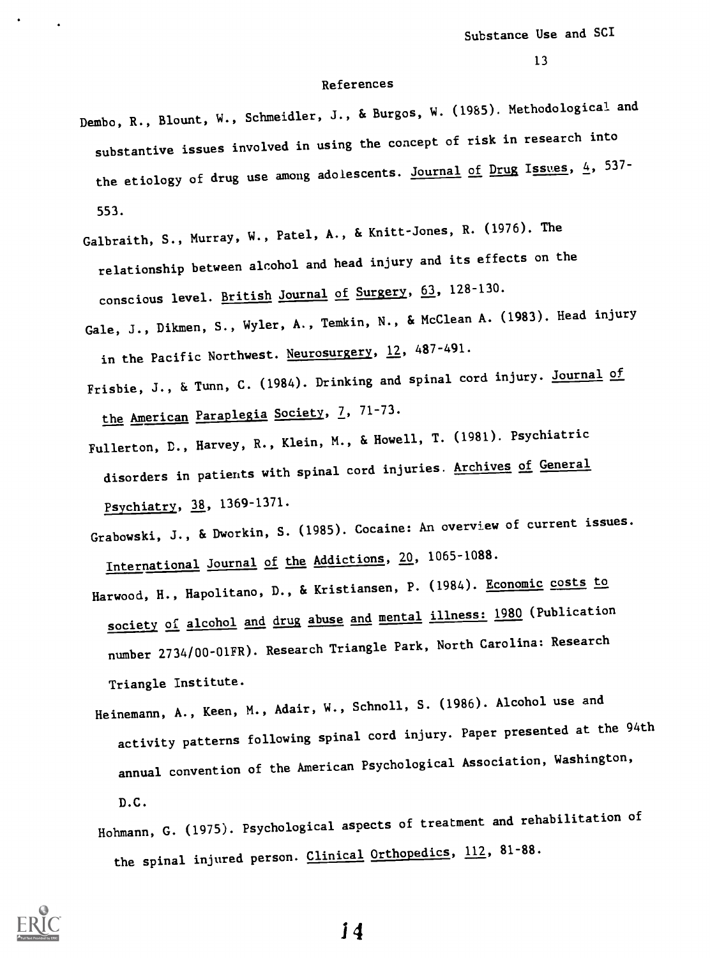# References

- Dembo, R., Blount, W., Schmeidler, J., & Burgos, W. (1985). Methodological and substantive issues involved in using the concept of risk in research into the etiology of drug use among adolescents. Journal of Drug Issues,  $4$ , 537-553.
- Galbraith, S., Murray, W., Patel, A., & Knitt-Jones, R. (1976). The relationship between alcohol and head injury and its effects on the conscious level. British Journal of Surgery, 63, 128-130.
- Gale, J., Dikmen, S., Wyler, A., Temkin, N., & McClean A. (1983). Head injury in the Pacific Northwest. Neurosurgery, 12, 487-491.
- Frisbie, J., & Tunn, C. (1984). Drinking and spinal cord injury. Journal of the American Paraplegia Society, 7, 71-73.
- Fullerton, D., Harvey, R., Klein, M., & Howell, T. (1981). Psychiatric disorders in patients with spinal cord injuries. Archives of General Psychiatry, 38, 1369-1371.
- Grabowski, J., & Dworkin, S. (1985). Cocaine: An overview of current issues. International Journal of the Addictions, 20, 1065-1088.
- Harwood, H., Hapolitano, D., & Kristiansen, P. (1984). Economic costs to society of alcohol and drug abuse and mental illness: 1980 (Publication number 2734/00-01FR). Research Triangle Park, North Carolina: Research Triangle Institute.
- Heinemann, A., Keen, M., Adair, W., Schnoll, S. (1986). Alcohol use and activity patterns following spinal cord injury. Paper presented at the 94th annual convention of the American Psychological Association, Washington, D.C.
- Hohmann, G. (1975). Psychological aspects of treatment and rehabilitation of the spinal injured person. Clinical Orthopedics, 112, 81-88.

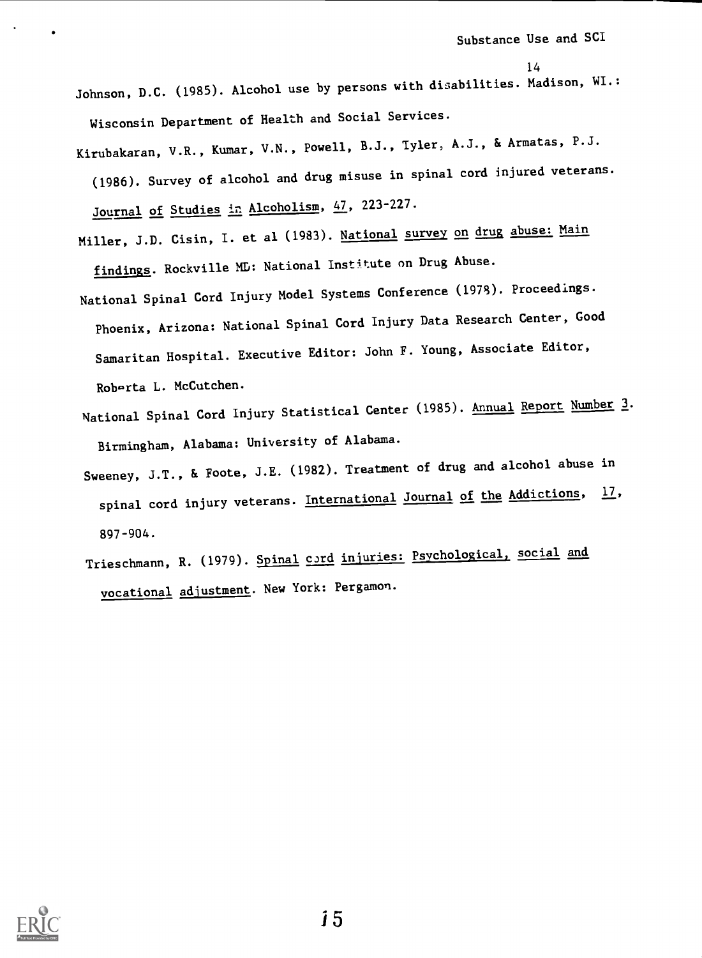Johnson, D.C. (1985). Alcohol use by persons with disabilities. Madison, WI.: Wisconsin Department of Health and Social Services.

- Kirubakaran, V.R., Kumar, V.N., Powell, B.J., Tyler, A.J., & Armatas, P.J. (1986). Survey of alcohol and drug misuse in spinal cord injured veterans. Journal of Studies in Alcoholism, 47, 223-227.
- Miller, J.D. Cisin, I. et al (1983). National survey on drug abuse: Main findings. Rockville MD: National Institute on Drug Abuse.
- National Spinal Cord Injury Model Systems Conference (1978). Proceedings. Phoenix, Arizona: National Spinal Cord Injury Data Research Center, Good Samaritan Hospital. Executive Editor: John F. Young, Associate Editor, Roberta L. McCutchen.
- National Spinal Cord Injury Statistical Center (1985). Annual Report Number 3. Birmingham, Alabama: University of Alabama.
- Sweeney, J.T., & Foote, J.E. (1982). Treatment of drug and alcohol abuse in spinal cord injury veterans. International Journal of the Addictions, 17, 897-904.
- Trieschmann, R. (1979). Spinal cord injuries: Psychological, social and vocational adjustment. New York: Pergamon.



*i* 5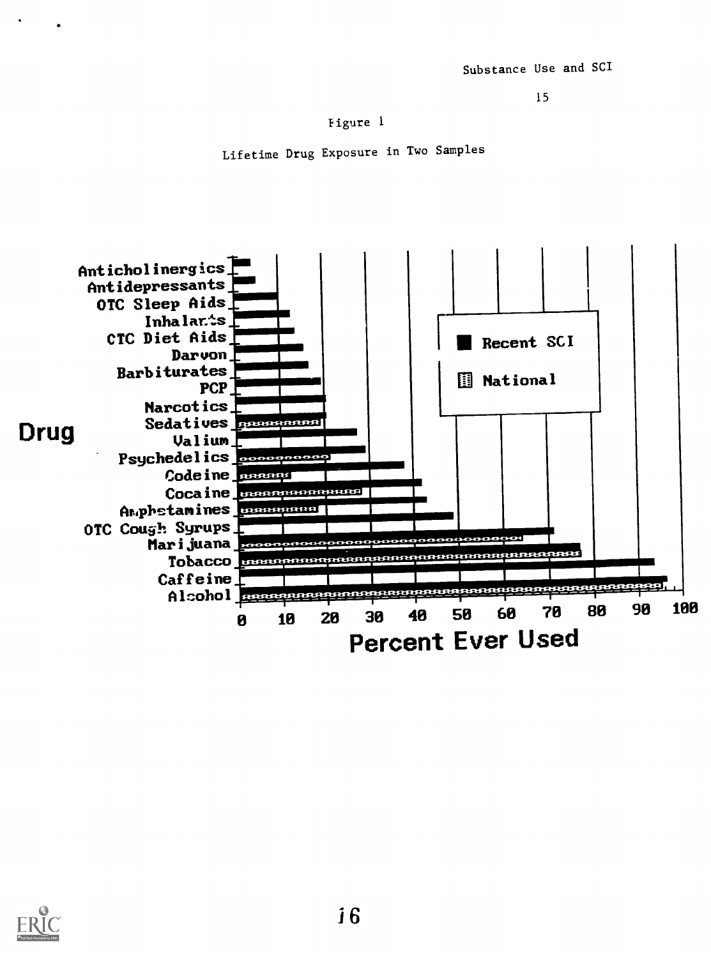figure 1

Lifetime Drug Exposure in Two Samples